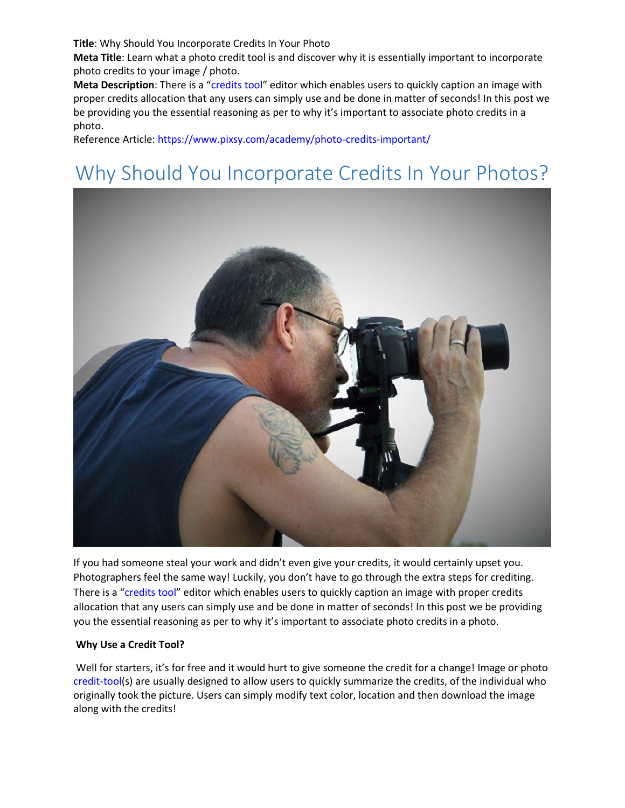**Title**: Why Should You Incorporate Credits In Your Photo

**Meta Title**: Learn what a photo credit tool is and discover why it is essentially important to incorporate photo credits to your image / photo.

**Meta Description**: There is a "[credits tool](https://tests_bucket.s3.amazonaws.com/tools/photo-credit/index.html)" editor which enables users to quickly caption an image with proper credits allocation that any users can simply use and be done in matter of seconds! In this post we be providing you the essential reasoning as per to why it's important to associate photo credits in a photo.

Reference Article[: https://www.pixsy.com/academy/photo-credits-important/](https://www.pixsy.com/academy/photo-credits-important/)

# Why Should You Incorporate Credits In Your Photos?



If you had someone steal your work and didn't even give your credits, it would certainly upset you. Photographers feel the same way! Luckily, you don't have to go through the extra steps for crediting. There is a "[credits tool](https://tests_bucket.s3.amazonaws.com/tools/photo-credit/index.html)" editor which enables users to quickly caption an image with proper credits allocation that any users can simply use and be done in matter of seconds! In this post we be providing you the essential reasoning as per to why it's important to associate photo credits in a photo.

### **Why Use a Credit Tool?**

Well for starters, it's for free and it would hurt to give someone the credit for a change! Image or photo [credit-tool\(](https://tests_bucket.s3.amazonaws.com/tools/photo-credit/index.html)s) are usually designed to allow users to quickly summarize the credits, of the individual who originally took the picture. Users can simply modify text color, location and then download the image along with the credits!